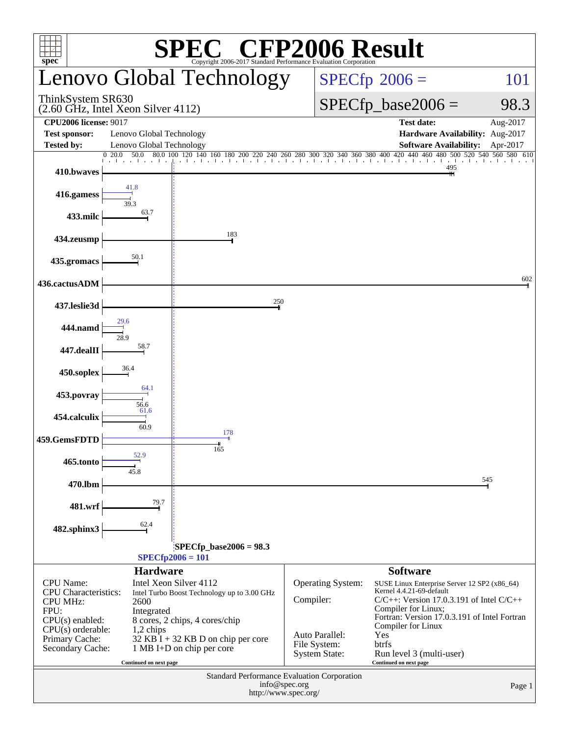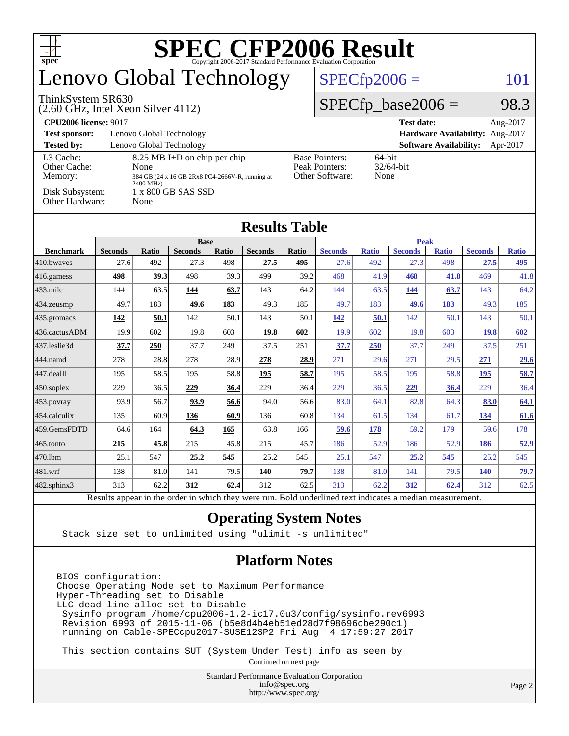| <b>SPEC CFP2006 Result</b><br>$spec^{\circ}$<br>Copyright 2006-2017 Standard Performance Evaluation Corporation |                                                             |                               |                |       |                |                                                                |                         |              |                |              |                |              |  |
|-----------------------------------------------------------------------------------------------------------------|-------------------------------------------------------------|-------------------------------|----------------|-------|----------------|----------------------------------------------------------------|-------------------------|--------------|----------------|--------------|----------------|--------------|--|
| enovo Global Technology                                                                                         |                                                             |                               |                |       |                |                                                                | $SPECfp2006 =$          |              |                |              |                | 101          |  |
| ThinkSystem SR630<br>$(2.60$ GHz, Intel Xeon Silver 4112)                                                       |                                                             |                               |                |       |                |                                                                | $SPECfp\_base2006 =$    |              |                |              | 98.3           |              |  |
| <b>CPU2006</b> license: 9017                                                                                    |                                                             | <b>Test date:</b><br>Aug-2017 |                |       |                |                                                                |                         |              |                |              |                |              |  |
| <b>Test sponsor:</b>                                                                                            | Lenovo Global Technology<br>Hardware Availability: Aug-2017 |                               |                |       |                |                                                                |                         |              |                |              |                |              |  |
| <b>Tested by:</b><br>Lenovo Global Technology<br><b>Software Availability:</b><br>Apr-2017                      |                                                             |                               |                |       |                |                                                                |                         |              |                |              |                |              |  |
| Other Cache:                                                                                                    | L3 Cache:<br>8.25 MB I+D on chip per chip<br>None           |                               |                |       |                | <b>Base Pointers:</b><br>64-bit<br>Peak Pointers:<br>32/64-bit |                         |              |                |              |                |              |  |
| Memory:                                                                                                         | 384 GB (24 x 16 GB 2Rx8 PC4-2666V-R, running at             |                               |                |       |                |                                                                | Other Software:<br>None |              |                |              |                |              |  |
| 2400 MHz)<br>Disk Subsystem:<br>1 x 800 GB SAS SSD                                                              |                                                             |                               |                |       |                |                                                                |                         |              |                |              |                |              |  |
| Other Hardware:<br>None                                                                                         |                                                             |                               |                |       |                |                                                                |                         |              |                |              |                |              |  |
| <b>Results Table</b>                                                                                            |                                                             |                               |                |       |                |                                                                |                         |              |                |              |                |              |  |
|                                                                                                                 |                                                             |                               | <b>Peak</b>    |       |                |                                                                |                         |              |                |              |                |              |  |
| <b>Benchmark</b>                                                                                                | <b>Seconds</b>                                              | <b>Ratio</b>                  | <b>Seconds</b> | Ratio | <b>Seconds</b> | Ratio                                                          | <b>Seconds</b>          | <b>Ratio</b> | <b>Seconds</b> | <b>Ratio</b> | <b>Seconds</b> | <b>Ratio</b> |  |
| 410.bwayes                                                                                                      | 27.6                                                        | 492                           | 27.3           | 498   | 27.5           | 495                                                            | 27.6                    | 492          | 27.3           | 498          | 27.5           | 495          |  |
| 416.gamess                                                                                                      | 498                                                         | 39.3                          | 498            | 39.3  | 499            | 39.2                                                           | 468                     | 41.9         | 468            | 41.8         | 469            | 41.8         |  |
| 433.milc                                                                                                        | 144                                                         | 63.5                          | 144            | 63.7  | 143            | 64.2                                                           | 144                     | 63.5         | 144            | 63.7         | 143            | 64.2         |  |
| 434.zeusmp                                                                                                      | 49.7                                                        | 183                           | 49.6           | 183   | 49.3           | 185                                                            | 49.7                    | 183          | 49.6           | 183          | 49.3           | 185          |  |
| 435.gromacs                                                                                                     | 142                                                         | 50.1                          | 142            | 50.1  | 143            | 50.1                                                           | 142                     | 50.1         | 142            | 50.1         | 143            | 50.1         |  |
| 436.cactusADM                                                                                                   | 19.9                                                        | 602                           | 19.8           | 603   | 19.8           | 602                                                            | 19.9                    | 602          | 19.8           | 603          | <b>19.8</b>    | 602          |  |
| 437.leslie3d                                                                                                    | 37.7                                                        | 250                           | 37.7           | 249   | 37.5           | 251                                                            | 37.7                    | <b>250</b>   | 37.7           | 249          | 37.5           | 251          |  |
| 444.namd                                                                                                        | 278                                                         | 28.8                          | 278            | 28.9  | 278            | 28.9                                                           | 271                     | 29.6         | 271            | 29.5         | 271            | <b>29.6</b>  |  |
| 447.dealII                                                                                                      | 195                                                         | 58.5                          | 195            | 58.8  | 195            | 58.7                                                           | 195                     | 58.5         | 195            | 58.8         | 195            | 58.7         |  |
| 450.soplex                                                                                                      | 229                                                         | 36.5                          | 229            | 36.4  | 229            | 36.4                                                           | 229                     | 36.5         | <u>229</u>     | 36.4         | 229            | 36.4         |  |
| 453.povray                                                                                                      | 93.9                                                        | 56.7                          | 93.9           | 56.6  | 94.0           | 56.6                                                           | 83.0                    | 64.1         | 82.8           | 64.3         | 83.0           | 64.1         |  |
| 454.calculix                                                                                                    | 135                                                         | 60.9                          | 136            | 60.9  | 136            | 60.8                                                           | 134                     | 61.5         | 134            | 61.7         | 134            | 61.6         |  |
| 459.GemsFDTD                                                                                                    | 64.6                                                        | 164                           | 64.3           | 165   | 63.8           | 166                                                            | 59.6                    | 178          | 59.2           | 179          | 59.6           | 178          |  |
| 465.tonto                                                                                                       | 215                                                         | 45.8                          | 215            | 45.8  | 215            | 45.7                                                           | 186                     | 52.9         | 186            | 52.9         | 186            | 52.9         |  |
| 470.1bm                                                                                                         | 25.1                                                        | 547                           | 25.2           | 545   | 25.2           | 545                                                            | 25.1                    | 547          | 25,2           | 545          | 25.2           | 545          |  |
| 481.wrf                                                                                                         | 138                                                         | 81.0                          | 141            | 79.5  | 140            | 79.7                                                           | 138                     | 81.0         | 141            | 79.5         | <b>140</b>     | 79.7         |  |
| $482$ .sphinx $3$                                                                                               | 313                                                         | 62.2                          | 312            | 62.4  | 312            | 62.5                                                           | 313                     | 62.2         | 312            | 62.4         | 312            | 62.5         |  |

Results appear in the [order in which they were run.](http://www.spec.org/auto/cpu2006/Docs/result-fields.html#RunOrder) Bold underlined text [indicates a median measurement.](http://www.spec.org/auto/cpu2006/Docs/result-fields.html#Median)

#### **[Operating System Notes](http://www.spec.org/auto/cpu2006/Docs/result-fields.html#OperatingSystemNotes)**

Stack size set to unlimited using "ulimit -s unlimited"

#### **[Platform Notes](http://www.spec.org/auto/cpu2006/Docs/result-fields.html#PlatformNotes)**

BIOS configuration: Choose Operating Mode set to Maximum Performance Hyper-Threading set to Disable LLC dead line alloc set to Disable Sysinfo program /home/cpu2006-1.2-ic17.0u3/config/sysinfo.rev6993 Revision 6993 of 2015-11-06 (b5e8d4b4eb51ed28d7f98696cbe290c1) running on Cable-SPECcpu2017-SUSE12SP2 Fri Aug 4 17:59:27 2017

This section contains SUT (System Under Test) info as seen by

Continued on next page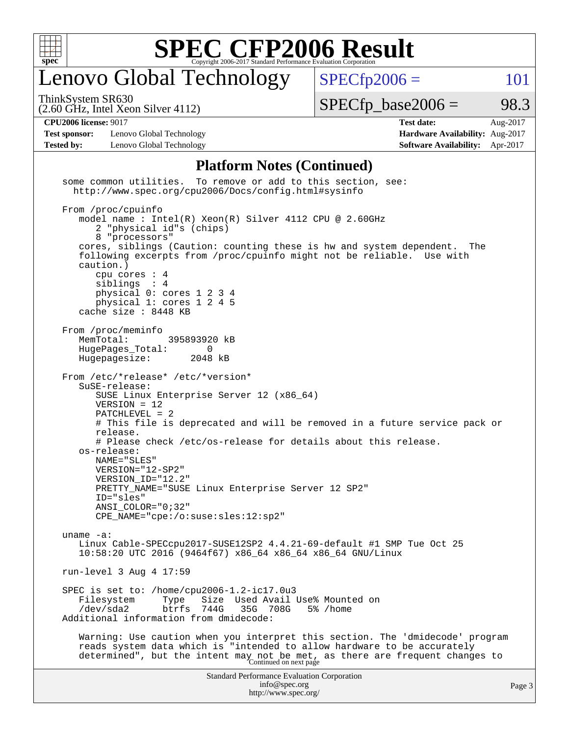

## enovo Global Technology

ThinkSystem SR630

(2.60 GHz, Intel Xeon Silver 4112)

 $SPECTp\_base2006 = 98.3$ 

 $SPECTp2006 = 101$ 

**[Test sponsor:](http://www.spec.org/auto/cpu2006/Docs/result-fields.html#Testsponsor)** Lenovo Global Technology **[Hardware Availability:](http://www.spec.org/auto/cpu2006/Docs/result-fields.html#HardwareAvailability)** Aug-2017 **[Tested by:](http://www.spec.org/auto/cpu2006/Docs/result-fields.html#Testedby)** Lenovo Global Technology **[Software Availability:](http://www.spec.org/auto/cpu2006/Docs/result-fields.html#SoftwareAvailability)** Apr-2017

**[CPU2006 license:](http://www.spec.org/auto/cpu2006/Docs/result-fields.html#CPU2006license)** 9017 **[Test date:](http://www.spec.org/auto/cpu2006/Docs/result-fields.html#Testdate)** Aug-2017

#### **[Platform Notes \(Continued\)](http://www.spec.org/auto/cpu2006/Docs/result-fields.html#PlatformNotes)**

Standard Performance Evaluation Corporation [info@spec.org](mailto:info@spec.org) <http://www.spec.org/> Page 3 some common utilities. To remove or add to this section, see: <http://www.spec.org/cpu2006/Docs/config.html#sysinfo> From /proc/cpuinfo model name : Intel(R) Xeon(R) Silver 4112 CPU @ 2.60GHz 2 "physical id"s (chips) 8 "processors" cores, siblings (Caution: counting these is hw and system dependent. The following excerpts from /proc/cpuinfo might not be reliable. Use with caution.) cpu cores : 4 siblings : 4 physical 0: cores 1 2 3 4 physical 1: cores 1 2 4 5 cache size : 8448 KB From /proc/meminfo MemTotal: 395893920 kB HugePages\_Total: 0<br>Hugepagesize: 2048 kB Hugepagesize: From /etc/\*release\* /etc/\*version\* SuSE-release: SUSE Linux Enterprise Server 12 (x86\_64) VERSION = 12 PATCHLEVEL = 2 # This file is deprecated and will be removed in a future service pack or release. # Please check /etc/os-release for details about this release. os-release: NAME="SLES" VERSION="12-SP2" VERSION\_ID="12.2" PRETTY\_NAME="SUSE Linux Enterprise Server 12 SP2" ID="sles" ANSI\_COLOR="0;32" CPE\_NAME="cpe:/o:suse:sles:12:sp2" uname -a: Linux Cable-SPECcpu2017-SUSE12SP2 4.4.21-69-default #1 SMP Tue Oct 25 10:58:20 UTC 2016 (9464f67) x86\_64 x86\_64 x86\_64 GNU/Linux run-level 3 Aug 4 17:59 SPEC is set to: /home/cpu2006-1.2-ic17.0u3 Filesystem Type Size Used Avail Use% Mounted on<br>
/dev/sda2 btrfs 744G 35G 708G 5% /home 35G 708G 5% /home Additional information from dmidecode: Warning: Use caution when you interpret this section. The 'dmidecode' program reads system data which is "intended to allow hardware to be accurately determined", but the intent may not be met, as there are frequent changes to<br>Continued on next page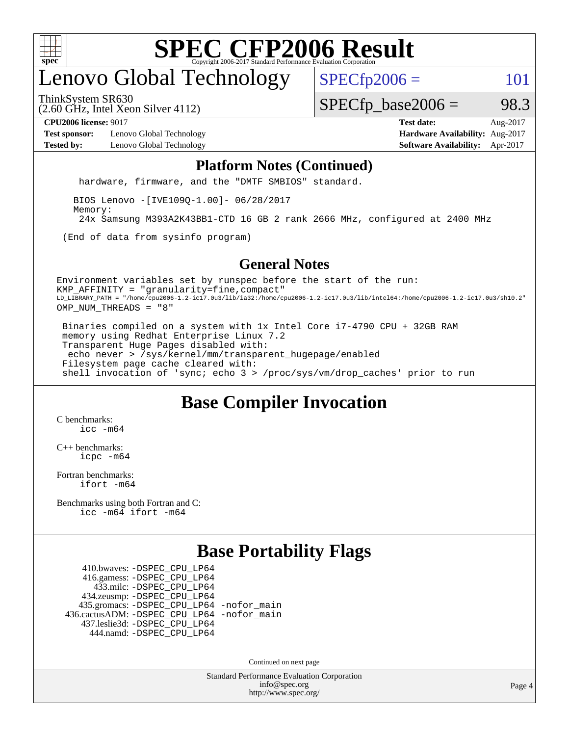

## enovo Global Technology

 $SPECTp2006 = 101$ 

ThinkSystem SR630

(2.60 GHz, Intel Xeon Silver 4112)

 $SPECTp\_base2006 = 98.3$ 

**[Test sponsor:](http://www.spec.org/auto/cpu2006/Docs/result-fields.html#Testsponsor)** Lenovo Global Technology **[Hardware Availability:](http://www.spec.org/auto/cpu2006/Docs/result-fields.html#HardwareAvailability)** Aug-2017 **[Tested by:](http://www.spec.org/auto/cpu2006/Docs/result-fields.html#Testedby)** Lenovo Global Technology **[Software Availability:](http://www.spec.org/auto/cpu2006/Docs/result-fields.html#SoftwareAvailability)** Apr-2017

**[CPU2006 license:](http://www.spec.org/auto/cpu2006/Docs/result-fields.html#CPU2006license)** 9017 **[Test date:](http://www.spec.org/auto/cpu2006/Docs/result-fields.html#Testdate)** Aug-2017

#### **[Platform Notes \(Continued\)](http://www.spec.org/auto/cpu2006/Docs/result-fields.html#PlatformNotes)**

hardware, firmware, and the "DMTF SMBIOS" standard.

 BIOS Lenovo -[IVE109Q-1.00]- 06/28/2017 Memory: 24x Samsung M393A2K43BB1-CTD 16 GB 2 rank 2666 MHz, configured at 2400 MHz

(End of data from sysinfo program)

#### **[General Notes](http://www.spec.org/auto/cpu2006/Docs/result-fields.html#GeneralNotes)**

Environment variables set by runspec before the start of the run: KMP\_AFFINITY = "granularity=fine,compact" LD\_LIBRARY\_PATH = "/home/cpu2006-1.2-ic17.0u3/lib/ia32:/home/cpu2006-1.2-ic17.0u3/lib/intel64:/home/cpu2006-1.2-ic17.0u3/sh10.2" OMP\_NUM\_THREADS = "8"

 Binaries compiled on a system with 1x Intel Core i7-4790 CPU + 32GB RAM memory using Redhat Enterprise Linux 7.2 Transparent Huge Pages disabled with: echo never > /sys/kernel/mm/transparent\_hugepage/enabled Filesystem page cache cleared with: shell invocation of 'sync; echo 3 > /proc/sys/vm/drop\_caches' prior to run

### **[Base Compiler Invocation](http://www.spec.org/auto/cpu2006/Docs/result-fields.html#BaseCompilerInvocation)**

[C benchmarks](http://www.spec.org/auto/cpu2006/Docs/result-fields.html#Cbenchmarks): [icc -m64](http://www.spec.org/cpu2006/results/res2017q4/cpu2006-20170918-49464.flags.html#user_CCbase_intel_icc_64bit_bda6cc9af1fdbb0edc3795bac97ada53)

[C++ benchmarks:](http://www.spec.org/auto/cpu2006/Docs/result-fields.html#CXXbenchmarks) [icpc -m64](http://www.spec.org/cpu2006/results/res2017q4/cpu2006-20170918-49464.flags.html#user_CXXbase_intel_icpc_64bit_fc66a5337ce925472a5c54ad6a0de310)

[Fortran benchmarks](http://www.spec.org/auto/cpu2006/Docs/result-fields.html#Fortranbenchmarks): [ifort -m64](http://www.spec.org/cpu2006/results/res2017q4/cpu2006-20170918-49464.flags.html#user_FCbase_intel_ifort_64bit_ee9d0fb25645d0210d97eb0527dcc06e)

[Benchmarks using both Fortran and C](http://www.spec.org/auto/cpu2006/Docs/result-fields.html#BenchmarksusingbothFortranandC): [icc -m64](http://www.spec.org/cpu2006/results/res2017q4/cpu2006-20170918-49464.flags.html#user_CC_FCbase_intel_icc_64bit_bda6cc9af1fdbb0edc3795bac97ada53) [ifort -m64](http://www.spec.org/cpu2006/results/res2017q4/cpu2006-20170918-49464.flags.html#user_CC_FCbase_intel_ifort_64bit_ee9d0fb25645d0210d97eb0527dcc06e)

#### **[Base Portability Flags](http://www.spec.org/auto/cpu2006/Docs/result-fields.html#BasePortabilityFlags)**

 410.bwaves: [-DSPEC\\_CPU\\_LP64](http://www.spec.org/cpu2006/results/res2017q4/cpu2006-20170918-49464.flags.html#suite_basePORTABILITY410_bwaves_DSPEC_CPU_LP64) 416.gamess: [-DSPEC\\_CPU\\_LP64](http://www.spec.org/cpu2006/results/res2017q4/cpu2006-20170918-49464.flags.html#suite_basePORTABILITY416_gamess_DSPEC_CPU_LP64) 433.milc: [-DSPEC\\_CPU\\_LP64](http://www.spec.org/cpu2006/results/res2017q4/cpu2006-20170918-49464.flags.html#suite_basePORTABILITY433_milc_DSPEC_CPU_LP64) 434.zeusmp: [-DSPEC\\_CPU\\_LP64](http://www.spec.org/cpu2006/results/res2017q4/cpu2006-20170918-49464.flags.html#suite_basePORTABILITY434_zeusmp_DSPEC_CPU_LP64) 435.gromacs: [-DSPEC\\_CPU\\_LP64](http://www.spec.org/cpu2006/results/res2017q4/cpu2006-20170918-49464.flags.html#suite_basePORTABILITY435_gromacs_DSPEC_CPU_LP64) [-nofor\\_main](http://www.spec.org/cpu2006/results/res2017q4/cpu2006-20170918-49464.flags.html#user_baseLDPORTABILITY435_gromacs_f-nofor_main) 436.cactusADM: [-DSPEC\\_CPU\\_LP64](http://www.spec.org/cpu2006/results/res2017q4/cpu2006-20170918-49464.flags.html#suite_basePORTABILITY436_cactusADM_DSPEC_CPU_LP64) [-nofor\\_main](http://www.spec.org/cpu2006/results/res2017q4/cpu2006-20170918-49464.flags.html#user_baseLDPORTABILITY436_cactusADM_f-nofor_main) 437.leslie3d: [-DSPEC\\_CPU\\_LP64](http://www.spec.org/cpu2006/results/res2017q4/cpu2006-20170918-49464.flags.html#suite_basePORTABILITY437_leslie3d_DSPEC_CPU_LP64) 444.namd: [-DSPEC\\_CPU\\_LP64](http://www.spec.org/cpu2006/results/res2017q4/cpu2006-20170918-49464.flags.html#suite_basePORTABILITY444_namd_DSPEC_CPU_LP64)

Continued on next page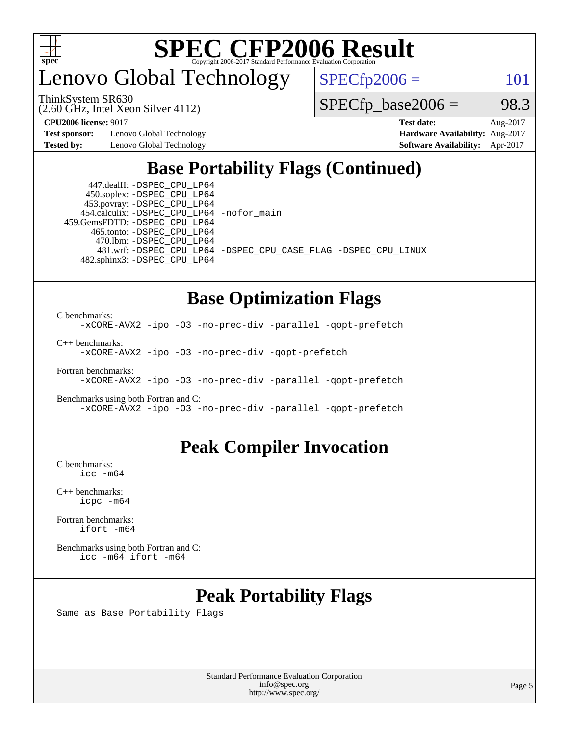

enovo Global Technology

 $SPECfp2006 = 101$  $SPECfp2006 = 101$ 

(2.60 GHz, Intel Xeon Silver 4112) ThinkSystem SR630

 $SPECTp\_base2006 = 98.3$ 

**[Test sponsor:](http://www.spec.org/auto/cpu2006/Docs/result-fields.html#Testsponsor)** Lenovo Global Technology **[Hardware Availability:](http://www.spec.org/auto/cpu2006/Docs/result-fields.html#HardwareAvailability)** Aug-2017

**[CPU2006 license:](http://www.spec.org/auto/cpu2006/Docs/result-fields.html#CPU2006license)** 9017 **[Test date:](http://www.spec.org/auto/cpu2006/Docs/result-fields.html#Testdate)** Aug-2017 **[Tested by:](http://www.spec.org/auto/cpu2006/Docs/result-fields.html#Testedby)** Lenovo Global Technology **[Software Availability:](http://www.spec.org/auto/cpu2006/Docs/result-fields.html#SoftwareAvailability)** Apr-2017

### **[Base Portability Flags \(Continued\)](http://www.spec.org/auto/cpu2006/Docs/result-fields.html#BasePortabilityFlags)**

 447.dealII: [-DSPEC\\_CPU\\_LP64](http://www.spec.org/cpu2006/results/res2017q4/cpu2006-20170918-49464.flags.html#suite_basePORTABILITY447_dealII_DSPEC_CPU_LP64) 450.soplex: [-DSPEC\\_CPU\\_LP64](http://www.spec.org/cpu2006/results/res2017q4/cpu2006-20170918-49464.flags.html#suite_basePORTABILITY450_soplex_DSPEC_CPU_LP64) 453.povray: [-DSPEC\\_CPU\\_LP64](http://www.spec.org/cpu2006/results/res2017q4/cpu2006-20170918-49464.flags.html#suite_basePORTABILITY453_povray_DSPEC_CPU_LP64) 454.calculix: [-DSPEC\\_CPU\\_LP64](http://www.spec.org/cpu2006/results/res2017q4/cpu2006-20170918-49464.flags.html#suite_basePORTABILITY454_calculix_DSPEC_CPU_LP64) [-nofor\\_main](http://www.spec.org/cpu2006/results/res2017q4/cpu2006-20170918-49464.flags.html#user_baseLDPORTABILITY454_calculix_f-nofor_main) 459.GemsFDTD: [-DSPEC\\_CPU\\_LP64](http://www.spec.org/cpu2006/results/res2017q4/cpu2006-20170918-49464.flags.html#suite_basePORTABILITY459_GemsFDTD_DSPEC_CPU_LP64) 465.tonto: [-DSPEC\\_CPU\\_LP64](http://www.spec.org/cpu2006/results/res2017q4/cpu2006-20170918-49464.flags.html#suite_basePORTABILITY465_tonto_DSPEC_CPU_LP64) 470.lbm: [-DSPEC\\_CPU\\_LP64](http://www.spec.org/cpu2006/results/res2017q4/cpu2006-20170918-49464.flags.html#suite_basePORTABILITY470_lbm_DSPEC_CPU_LP64) 482.sphinx3: [-DSPEC\\_CPU\\_LP64](http://www.spec.org/cpu2006/results/res2017q4/cpu2006-20170918-49464.flags.html#suite_basePORTABILITY482_sphinx3_DSPEC_CPU_LP64)

481.wrf: [-DSPEC\\_CPU\\_LP64](http://www.spec.org/cpu2006/results/res2017q4/cpu2006-20170918-49464.flags.html#suite_basePORTABILITY481_wrf_DSPEC_CPU_LP64) [-DSPEC\\_CPU\\_CASE\\_FLAG](http://www.spec.org/cpu2006/results/res2017q4/cpu2006-20170918-49464.flags.html#b481.wrf_baseCPORTABILITY_DSPEC_CPU_CASE_FLAG) [-DSPEC\\_CPU\\_LINUX](http://www.spec.org/cpu2006/results/res2017q4/cpu2006-20170918-49464.flags.html#b481.wrf_baseCPORTABILITY_DSPEC_CPU_LINUX)

### **[Base Optimization Flags](http://www.spec.org/auto/cpu2006/Docs/result-fields.html#BaseOptimizationFlags)**

[C benchmarks](http://www.spec.org/auto/cpu2006/Docs/result-fields.html#Cbenchmarks):

[-xCORE-AVX2](http://www.spec.org/cpu2006/results/res2017q4/cpu2006-20170918-49464.flags.html#user_CCbase_f-xCORE-AVX2) [-ipo](http://www.spec.org/cpu2006/results/res2017q4/cpu2006-20170918-49464.flags.html#user_CCbase_f-ipo) [-O3](http://www.spec.org/cpu2006/results/res2017q4/cpu2006-20170918-49464.flags.html#user_CCbase_f-O3) [-no-prec-div](http://www.spec.org/cpu2006/results/res2017q4/cpu2006-20170918-49464.flags.html#user_CCbase_f-no-prec-div) [-parallel](http://www.spec.org/cpu2006/results/res2017q4/cpu2006-20170918-49464.flags.html#user_CCbase_f-parallel) [-qopt-prefetch](http://www.spec.org/cpu2006/results/res2017q4/cpu2006-20170918-49464.flags.html#user_CCbase_f-qopt-prefetch)

[C++ benchmarks:](http://www.spec.org/auto/cpu2006/Docs/result-fields.html#CXXbenchmarks) [-xCORE-AVX2](http://www.spec.org/cpu2006/results/res2017q4/cpu2006-20170918-49464.flags.html#user_CXXbase_f-xCORE-AVX2) [-ipo](http://www.spec.org/cpu2006/results/res2017q4/cpu2006-20170918-49464.flags.html#user_CXXbase_f-ipo) [-O3](http://www.spec.org/cpu2006/results/res2017q4/cpu2006-20170918-49464.flags.html#user_CXXbase_f-O3) [-no-prec-div](http://www.spec.org/cpu2006/results/res2017q4/cpu2006-20170918-49464.flags.html#user_CXXbase_f-no-prec-div) [-qopt-prefetch](http://www.spec.org/cpu2006/results/res2017q4/cpu2006-20170918-49464.flags.html#user_CXXbase_f-qopt-prefetch)

[Fortran benchmarks](http://www.spec.org/auto/cpu2006/Docs/result-fields.html#Fortranbenchmarks): [-xCORE-AVX2](http://www.spec.org/cpu2006/results/res2017q4/cpu2006-20170918-49464.flags.html#user_FCbase_f-xCORE-AVX2) [-ipo](http://www.spec.org/cpu2006/results/res2017q4/cpu2006-20170918-49464.flags.html#user_FCbase_f-ipo) [-O3](http://www.spec.org/cpu2006/results/res2017q4/cpu2006-20170918-49464.flags.html#user_FCbase_f-O3) [-no-prec-div](http://www.spec.org/cpu2006/results/res2017q4/cpu2006-20170918-49464.flags.html#user_FCbase_f-no-prec-div) [-parallel](http://www.spec.org/cpu2006/results/res2017q4/cpu2006-20170918-49464.flags.html#user_FCbase_f-parallel) [-qopt-prefetch](http://www.spec.org/cpu2006/results/res2017q4/cpu2006-20170918-49464.flags.html#user_FCbase_f-qopt-prefetch)

[Benchmarks using both Fortran and C](http://www.spec.org/auto/cpu2006/Docs/result-fields.html#BenchmarksusingbothFortranandC): [-xCORE-AVX2](http://www.spec.org/cpu2006/results/res2017q4/cpu2006-20170918-49464.flags.html#user_CC_FCbase_f-xCORE-AVX2) [-ipo](http://www.spec.org/cpu2006/results/res2017q4/cpu2006-20170918-49464.flags.html#user_CC_FCbase_f-ipo) [-O3](http://www.spec.org/cpu2006/results/res2017q4/cpu2006-20170918-49464.flags.html#user_CC_FCbase_f-O3) [-no-prec-div](http://www.spec.org/cpu2006/results/res2017q4/cpu2006-20170918-49464.flags.html#user_CC_FCbase_f-no-prec-div) [-parallel](http://www.spec.org/cpu2006/results/res2017q4/cpu2006-20170918-49464.flags.html#user_CC_FCbase_f-parallel) [-qopt-prefetch](http://www.spec.org/cpu2006/results/res2017q4/cpu2006-20170918-49464.flags.html#user_CC_FCbase_f-qopt-prefetch)

### **[Peak Compiler Invocation](http://www.spec.org/auto/cpu2006/Docs/result-fields.html#PeakCompilerInvocation)**

[C benchmarks](http://www.spec.org/auto/cpu2006/Docs/result-fields.html#Cbenchmarks): [icc -m64](http://www.spec.org/cpu2006/results/res2017q4/cpu2006-20170918-49464.flags.html#user_CCpeak_intel_icc_64bit_bda6cc9af1fdbb0edc3795bac97ada53)

[C++ benchmarks:](http://www.spec.org/auto/cpu2006/Docs/result-fields.html#CXXbenchmarks) [icpc -m64](http://www.spec.org/cpu2006/results/res2017q4/cpu2006-20170918-49464.flags.html#user_CXXpeak_intel_icpc_64bit_fc66a5337ce925472a5c54ad6a0de310)

[Fortran benchmarks](http://www.spec.org/auto/cpu2006/Docs/result-fields.html#Fortranbenchmarks): [ifort -m64](http://www.spec.org/cpu2006/results/res2017q4/cpu2006-20170918-49464.flags.html#user_FCpeak_intel_ifort_64bit_ee9d0fb25645d0210d97eb0527dcc06e)

[Benchmarks using both Fortran and C](http://www.spec.org/auto/cpu2006/Docs/result-fields.html#BenchmarksusingbothFortranandC): [icc -m64](http://www.spec.org/cpu2006/results/res2017q4/cpu2006-20170918-49464.flags.html#user_CC_FCpeak_intel_icc_64bit_bda6cc9af1fdbb0edc3795bac97ada53) [ifort -m64](http://www.spec.org/cpu2006/results/res2017q4/cpu2006-20170918-49464.flags.html#user_CC_FCpeak_intel_ifort_64bit_ee9d0fb25645d0210d97eb0527dcc06e)

## **[Peak Portability Flags](http://www.spec.org/auto/cpu2006/Docs/result-fields.html#PeakPortabilityFlags)**

Same as Base Portability Flags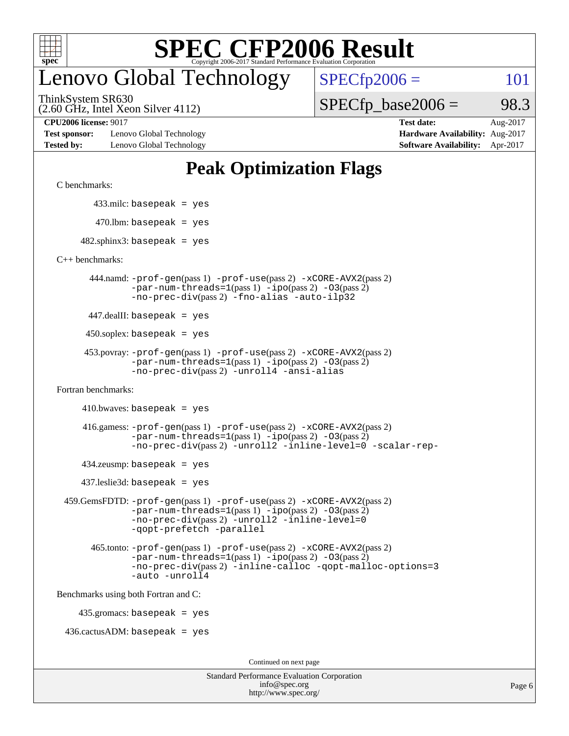

## enovo Global Technology

 $SPECTp2006 = 101$ 

(2.60 GHz, Intel Xeon Silver 4112) ThinkSystem SR630

 $SPECTp\_base2006 = 98.3$ 

**[Test sponsor:](http://www.spec.org/auto/cpu2006/Docs/result-fields.html#Testsponsor)** Lenovo Global Technology **[Hardware Availability:](http://www.spec.org/auto/cpu2006/Docs/result-fields.html#HardwareAvailability)** Aug-2017 **[Tested by:](http://www.spec.org/auto/cpu2006/Docs/result-fields.html#Testedby)** Lenovo Global Technology **[Software Availability:](http://www.spec.org/auto/cpu2006/Docs/result-fields.html#SoftwareAvailability)** Apr-2017

**[CPU2006 license:](http://www.spec.org/auto/cpu2006/Docs/result-fields.html#CPU2006license)** 9017 **[Test date:](http://www.spec.org/auto/cpu2006/Docs/result-fields.html#Testdate)** Aug-2017

### **[Peak Optimization Flags](http://www.spec.org/auto/cpu2006/Docs/result-fields.html#PeakOptimizationFlags)**

[C benchmarks](http://www.spec.org/auto/cpu2006/Docs/result-fields.html#Cbenchmarks):

433.milc: basepeak = yes

 $470.$ lbm: basepeak = yes

 $482$ .sphinx3: basepeak = yes

[C++ benchmarks:](http://www.spec.org/auto/cpu2006/Docs/result-fields.html#CXXbenchmarks)

 444.namd: [-prof-gen](http://www.spec.org/cpu2006/results/res2017q4/cpu2006-20170918-49464.flags.html#user_peakPASS1_CXXFLAGSPASS1_LDFLAGS444_namd_prof_gen_e43856698f6ca7b7e442dfd80e94a8fc)(pass 1) [-prof-use](http://www.spec.org/cpu2006/results/res2017q4/cpu2006-20170918-49464.flags.html#user_peakPASS2_CXXFLAGSPASS2_LDFLAGS444_namd_prof_use_bccf7792157ff70d64e32fe3e1250b55)(pass 2) [-xCORE-AVX2](http://www.spec.org/cpu2006/results/res2017q4/cpu2006-20170918-49464.flags.html#user_peakPASS2_CXXFLAGSPASS2_LDFLAGS444_namd_f-xCORE-AVX2)(pass 2)  $-par-num-threads=1(pass 1) -ipo(pass 2) -O3(pass 2)$  $-par-num-threads=1(pass 1) -ipo(pass 2) -O3(pass 2)$  $-par-num-threads=1(pass 1) -ipo(pass 2) -O3(pass 2)$  $-par-num-threads=1(pass 1) -ipo(pass 2) -O3(pass 2)$  $-par-num-threads=1(pass 1) -ipo(pass 2) -O3(pass 2)$  $-par-num-threads=1(pass 1) -ipo(pass 2) -O3(pass 2)$ [-no-prec-div](http://www.spec.org/cpu2006/results/res2017q4/cpu2006-20170918-49464.flags.html#user_peakPASS2_CXXFLAGSPASS2_LDFLAGS444_namd_f-no-prec-div)(pass 2) [-fno-alias](http://www.spec.org/cpu2006/results/res2017q4/cpu2006-20170918-49464.flags.html#user_peakCXXOPTIMIZEOPTIMIZE444_namd_f-no-alias_694e77f6c5a51e658e82ccff53a9e63a) [-auto-ilp32](http://www.spec.org/cpu2006/results/res2017q4/cpu2006-20170918-49464.flags.html#user_peakCXXOPTIMIZE444_namd_f-auto-ilp32)

447.dealII: basepeak = yes

 $450$ .soplex: basepeak = yes

```
 453.povray: -prof-gen(pass 1) -prof-use(pass 2) -xCORE-AVX2(pass 2)
         -par-num-threads=1-ipo-O3(pass 2)-no-prec-div(pass 2) -unroll4 -ansi-alias
```
[Fortran benchmarks](http://www.spec.org/auto/cpu2006/Docs/result-fields.html#Fortranbenchmarks):

 $410.bwaves: basepeak = yes$ 

 416.gamess: [-prof-gen](http://www.spec.org/cpu2006/results/res2017q4/cpu2006-20170918-49464.flags.html#user_peakPASS1_FFLAGSPASS1_LDFLAGS416_gamess_prof_gen_e43856698f6ca7b7e442dfd80e94a8fc)(pass 1) [-prof-use](http://www.spec.org/cpu2006/results/res2017q4/cpu2006-20170918-49464.flags.html#user_peakPASS2_FFLAGSPASS2_LDFLAGS416_gamess_prof_use_bccf7792157ff70d64e32fe3e1250b55)(pass 2) [-xCORE-AVX2](http://www.spec.org/cpu2006/results/res2017q4/cpu2006-20170918-49464.flags.html#user_peakPASS2_FFLAGSPASS2_LDFLAGS416_gamess_f-xCORE-AVX2)(pass 2)  $-par-num-threads=1(pass 1) -ipo(pass 2) -O3(pass 2)$  $-par-num-threads=1(pass 1) -ipo(pass 2) -O3(pass 2)$  $-par-num-threads=1(pass 1) -ipo(pass 2) -O3(pass 2)$  $-par-num-threads=1(pass 1) -ipo(pass 2) -O3(pass 2)$  $-par-num-threads=1(pass 1) -ipo(pass 2) -O3(pass 2)$  $-par-num-threads=1(pass 1) -ipo(pass 2) -O3(pass 2)$ [-no-prec-div](http://www.spec.org/cpu2006/results/res2017q4/cpu2006-20170918-49464.flags.html#user_peakPASS2_FFLAGSPASS2_LDFLAGS416_gamess_f-no-prec-div)(pass 2) [-unroll2](http://www.spec.org/cpu2006/results/res2017q4/cpu2006-20170918-49464.flags.html#user_peakOPTIMIZE416_gamess_f-unroll_784dae83bebfb236979b41d2422d7ec2) [-inline-level=0](http://www.spec.org/cpu2006/results/res2017q4/cpu2006-20170918-49464.flags.html#user_peakOPTIMIZE416_gamess_f-inline-level_318d07a09274ad25e8d15dbfaa68ba50) [-scalar-rep-](http://www.spec.org/cpu2006/results/res2017q4/cpu2006-20170918-49464.flags.html#user_peakOPTIMIZE416_gamess_f-disablescalarrep_abbcad04450fb118e4809c81d83c8a1d)

 $434$ .zeusmp: basepeak = yes

437.leslie3d: basepeak = yes

```
 459.GemsFDTD: -prof-gen(pass 1) -prof-use(pass 2) -xCORE-AVX2(pass 2)
            -par-num-threads=1-ipo-O3(pass 2)-no-prec-div(pass 2) -unroll2 -inline-level=0
            -qopt-prefetch -parallel
```
 465.tonto: [-prof-gen](http://www.spec.org/cpu2006/results/res2017q4/cpu2006-20170918-49464.flags.html#user_peakPASS1_FFLAGSPASS1_LDFLAGS465_tonto_prof_gen_e43856698f6ca7b7e442dfd80e94a8fc)(pass 1) [-prof-use](http://www.spec.org/cpu2006/results/res2017q4/cpu2006-20170918-49464.flags.html#user_peakPASS2_FFLAGSPASS2_LDFLAGS465_tonto_prof_use_bccf7792157ff70d64e32fe3e1250b55)(pass 2) [-xCORE-AVX2](http://www.spec.org/cpu2006/results/res2017q4/cpu2006-20170918-49464.flags.html#user_peakPASS2_FFLAGSPASS2_LDFLAGS465_tonto_f-xCORE-AVX2)(pass 2)  $-par-num-threads=1(pass 1) -ipo(pass 2) -O3(pass 2)$  $-par-num-threads=1(pass 1) -ipo(pass 2) -O3(pass 2)$  $-par-num-threads=1(pass 1) -ipo(pass 2) -O3(pass 2)$  $-par-num-threads=1(pass 1) -ipo(pass 2) -O3(pass 2)$  $-par-num-threads=1(pass 1) -ipo(pass 2) -O3(pass 2)$  $-par-num-threads=1(pass 1) -ipo(pass 2) -O3(pass 2)$ [-no-prec-div](http://www.spec.org/cpu2006/results/res2017q4/cpu2006-20170918-49464.flags.html#user_peakPASS2_FFLAGSPASS2_LDFLAGS465_tonto_f-no-prec-div)(pass 2) [-inline-calloc](http://www.spec.org/cpu2006/results/res2017q4/cpu2006-20170918-49464.flags.html#user_peakOPTIMIZE465_tonto_f-inline-calloc) [-qopt-malloc-options=3](http://www.spec.org/cpu2006/results/res2017q4/cpu2006-20170918-49464.flags.html#user_peakOPTIMIZE465_tonto_f-qopt-malloc-options_0fcb435012e78f27d57f473818e45fe4) [-auto](http://www.spec.org/cpu2006/results/res2017q4/cpu2006-20170918-49464.flags.html#user_peakOPTIMIZE465_tonto_f-auto) [-unroll4](http://www.spec.org/cpu2006/results/res2017q4/cpu2006-20170918-49464.flags.html#user_peakOPTIMIZE465_tonto_f-unroll_4e5e4ed65b7fd20bdcd365bec371b81f)

[Benchmarks using both Fortran and C](http://www.spec.org/auto/cpu2006/Docs/result-fields.html#BenchmarksusingbothFortranandC):

435.gromacs: basepeak = yes

 $436.cactusADM:basepeak = yes$ 

Continued on next page

| <b>Standard Performance Evaluation Corporation</b> |
|----------------------------------------------------|
| info@spec.org                                      |
| http://www.spec.org/                               |